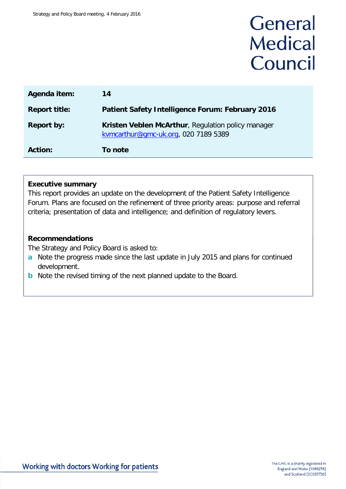# General **Medical** Council

| Agenda item:         | 14                                                                                         |
|----------------------|--------------------------------------------------------------------------------------------|
| <b>Report title:</b> | <b>Patient Safety Intelligence Forum: February 2016</b>                                    |
| <b>Report by:</b>    | Kristen Veblen McArthur, Regulation policy manager<br>kvmcarthur@gmc-uk.org, 020 7189 5389 |
| <b>Action:</b>       | To note                                                                                    |

### **Executive summary**

This report provides an update on the development of the Patient Safety Intelligence Forum. Plans are focused on the refinement of three priority areas: purpose and referral criteria; presentation of data and intelligence; and definition of regulatory levers.

## **Recommendations**

The Strategy and Policy Board is asked to:

- **a** Note the progress made since the last update in July 2015 and plans for continued development.
- **b** Note the revised timing of the next planned update to the Board.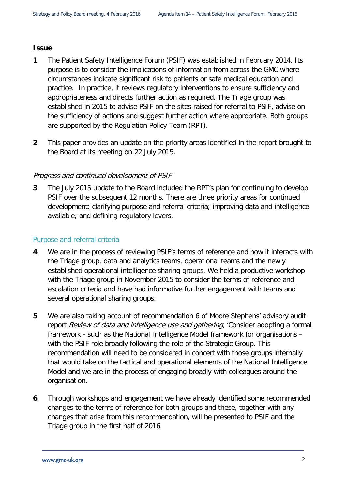### **Issue**

- **1** The Patient Safety Intelligence Forum (PSIF) was established in February 2014. Its purpose is to consider the implications of information from across the GMC where circumstances indicate significant risk to patients or safe medical education and practice. In practice, it reviews regulatory interventions to ensure sufficiency and appropriateness and directs further action as required. The Triage group was established in 2015 to advise PSIF on the sites raised for referral to PSIF, advise on the sufficiency of actions and suggest further action where appropriate. Both groups are supported by the Regulation Policy Team (RPT).
- **2** This paper provides an update on the priority areas identified in the report brought to the Board at its meeting on 22 July 2015.

## Progress and continued development of PSIF

**3** The July 2015 update to the Board included the RPT's plan for continuing to develop PSIF over the subsequent 12 months. There are three priority areas for continued development: clarifying purpose and referral criteria; improving data and intelligence available; and defining regulatory levers.

### Purpose and referral criteria

- **4** We are in the process of reviewing PSIF's terms of reference and how it interacts with the Triage group, data and analytics teams, operational teams and the newly established operational intelligence sharing groups. We held a productive workshop with the Triage group in November 2015 to consider the terms of reference and escalation criteria and have had informative further engagement with teams and several operational sharing groups.
- **5** We are also taking account of recommendation 6 of Moore Stephens' advisory audit report Review of data and intelligence use and gathering, 'Consider adopting a formal framework - such as the National Intelligence Model framework for organisations – with the PSIF role broadly following the role of the Strategic Group. This recommendation will need to be considered in concert with those groups internally that would take on the tactical and operational elements of the National Intelligence Model and we are in the process of engaging broadly with colleagues around the organisation.
- **6** Through workshops and engagement we have already identified some recommended changes to the terms of reference for both groups and these, together with any changes that arise from this recommendation, will be presented to PSIF and the Triage group in the first half of 2016.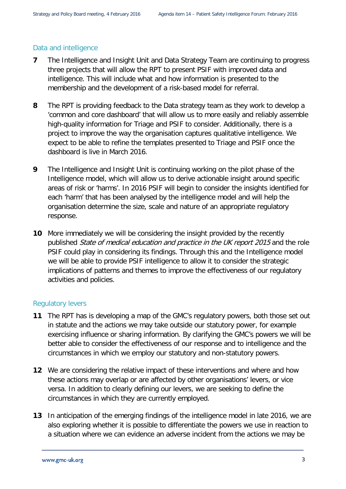## Data and intelligence

- **7** The Intelligence and Insight Unit and Data Strategy Team are continuing to progress three projects that will allow the RPT to present PSIF with improved data and intelligence. This will include what and how information is presented to the membership and the development of a risk-based model for referral.
- **8** The RPT is providing feedback to the Data strategy team as they work to develop a 'common and core dashboard' that will allow us to more easily and reliably assemble high-quality information for Triage and PSIF to consider. Additionally, there is a project to improve the way the organisation captures qualitative intelligence. We expect to be able to refine the templates presented to Triage and PSIF once the dashboard is live in March 2016.
- **9** The Intelligence and Insight Unit is continuing working on the pilot phase of the Intelligence model, which will allow us to derive actionable insight around specific areas of risk or 'harms'. In 2016 PSIF will begin to consider the insights identified for each 'harm' that has been analysed by the intelligence model and will help the organisation determine the size, scale and nature of an appropriate regulatory response.
- **10** More immediately we will be considering the insight provided by the recently published State of medical education and practice in the UK report 2015 and the role PSIF could play in considering its findings. Through this and the Intelligence model we will be able to provide PSIF intelligence to allow it to consider the strategic implications of patterns and themes to improve the effectiveness of our regulatory activities and policies.

### Regulatory levers

- **11** The RPT has is developing a map of the GMC's regulatory powers, both those set out in statute and the actions we may take outside our statutory power, for example exercising influence or sharing information. By clarifying the GMC's powers we will be better able to consider the effectiveness of our response and to intelligence and the circumstances in which we employ our statutory and non-statutory powers.
- **12** We are considering the relative impact of these interventions and where and how these actions may overlap or are affected by other organisations' levers, or vice versa. In addition to clearly defining our levers, we are seeking to define the circumstances in which they are currently employed.
- **13** In anticipation of the emerging findings of the intelligence model in late 2016, we are also exploring whether it is possible to differentiate the powers we use in reaction to a situation where we can evidence an adverse incident from the actions we may be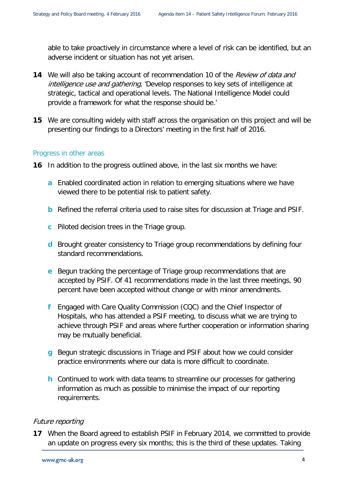able to take proactively in circumstance where a level of risk can be identified, but an adverse incident or situation has not yet arisen.

- **14** We will also be taking account of recommendation 10 of the Review of data and intelligence use and gathering, 'Develop responses to key sets of intelligence at strategic, tactical and operational levels. The National Intelligence Model could provide a framework for what the response should be.'
- **15** We are consulting widely with staff across the organisation on this project and will be presenting our findings to a Directors' meeting in the first half of 2016.

#### Progress in other areas

- **16** In addition to the progress outlined above, in the last six months we have:
	- **a** Enabled coordinated action in relation to emerging situations where we have viewed there to be potential risk to patient safety.
	- **b** Refined the referral criteria used to raise sites for discussion at Triage and PSIF.
	- **c** Piloted decision trees in the Triage group.
	- **d** Brought greater consistency to Triage group recommendations by defining four standard recommendations.
	- **e** Begun tracking the percentage of Triage group recommendations that are accepted by PSIF. Of 41 recommendations made in the last three meetings, 90 percent have been accepted without change or with minor amendments.
	- **f** Engaged with Care Quality Commission (CQC) and the Chief Inspector of Hospitals, who has attended a PSIF meeting, to discuss what we are trying to achieve through PSIF and areas where further cooperation or information sharing may be mutually beneficial.
	- **g** Begun strategic discussions in Triage and PSIF about how we could consider practice environments where our data is more difficult to coordinate.
	- **h** Continued to work with data teams to streamline our processes for gathering information as much as possible to minimise the impact of our reporting requirements.

### Future reporting

**17** When the Board agreed to establish PSIF in February 2014, we committed to provide an update on progress every six months; this is the third of these updates. Taking